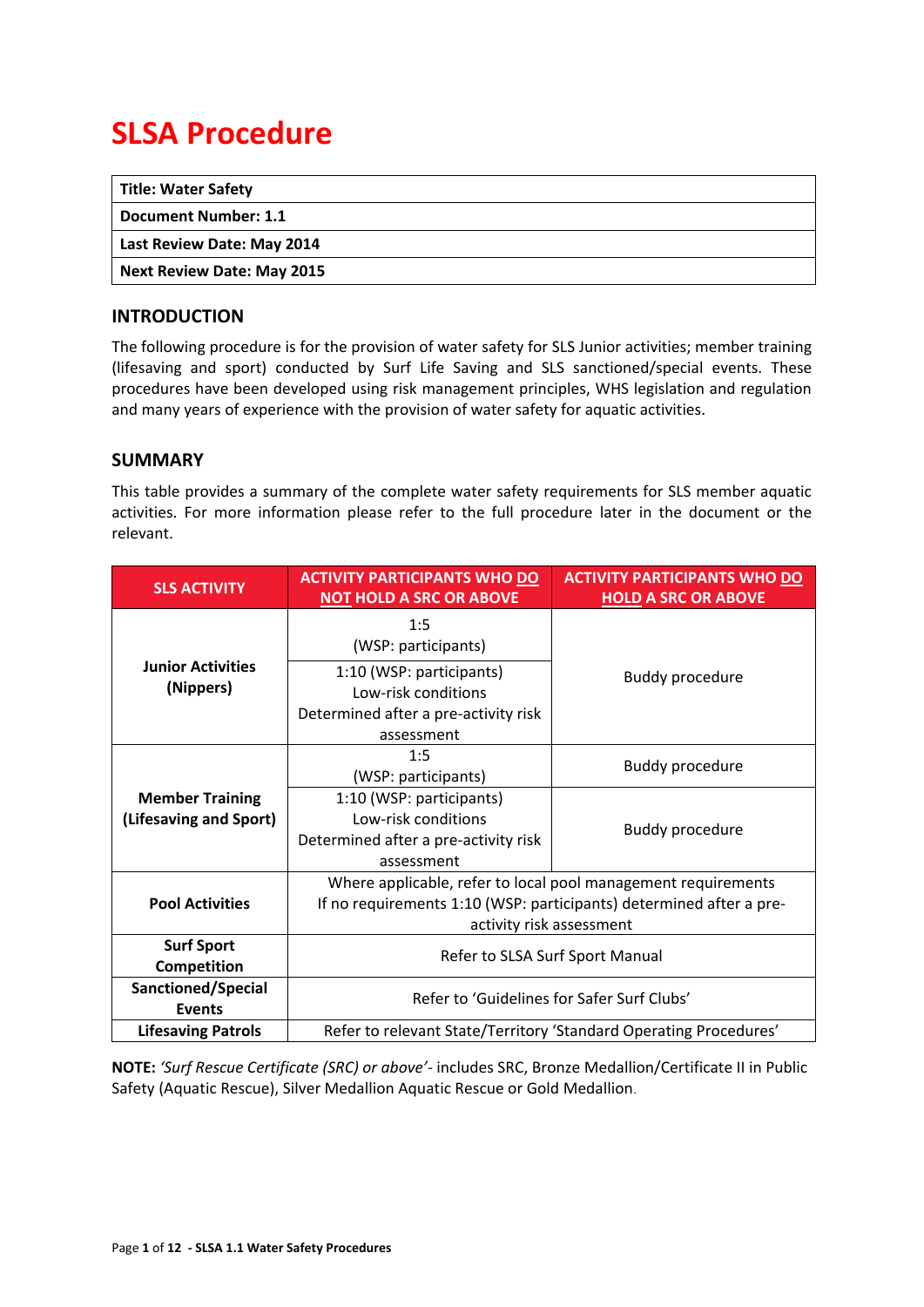# **SLSA Procedure**

| <b>Title: Water Safety</b>        |  |
|-----------------------------------|--|
| Document Number: 1.1              |  |
| Last Review Date: May 2014        |  |
| <b>Next Review Date: May 2015</b> |  |

## <span id="page-0-0"></span>**INTRODUCTION**

The following procedure is for the provision of water safety for SLS Junior activities; member training (lifesaving and sport) conducted by Surf Life Saving and SLS sanctioned/special events. These procedures have been developed using risk management principles, WHS legislation and regulation and many years of experience with the provision of water safety for aquatic activities.

### <span id="page-0-1"></span>**SUMMARY**

This table provides a summary of the complete water safety requirements for SLS member aquatic activities. For more information please refer to the full procedure later in the document or the relevant.

| <b>SLS ACTIVITY</b>                              | <b>ACTIVITY PARTICIPANTS WHO DO</b><br><b>NOT HOLD A SRC OR ABOVE</b>                                                                                            | <b>ACTIVITY PARTICIPANTS WHO DO</b><br><b>HOLD A SRC OR ABOVE</b> |  |
|--------------------------------------------------|------------------------------------------------------------------------------------------------------------------------------------------------------------------|-------------------------------------------------------------------|--|
|                                                  | 1:5<br>(WSP: participants)                                                                                                                                       |                                                                   |  |
| <b>Junior Activities</b><br>(Nippers)            | 1:10 (WSP: participants)<br><b>Buddy procedure</b><br>Low-risk conditions<br>Determined after a pre-activity risk<br>assessment                                  |                                                                   |  |
|                                                  | 1:5<br>(WSP: participants)                                                                                                                                       | <b>Buddy procedure</b>                                            |  |
| <b>Member Training</b><br>(Lifesaving and Sport) | 1:10 (WSP: participants)<br>Low-risk conditions<br>Determined after a pre-activity risk<br>assessment                                                            | <b>Buddy procedure</b>                                            |  |
| <b>Pool Activities</b>                           | Where applicable, refer to local pool management requirements<br>If no requirements 1:10 (WSP: participants) determined after a pre-<br>activity risk assessment |                                                                   |  |
| <b>Surf Sport</b><br>Competition                 | Refer to SLSA Surf Sport Manual                                                                                                                                  |                                                                   |  |
| Sanctioned/Special<br><b>Events</b>              | Refer to 'Guidelines for Safer Surf Clubs'                                                                                                                       |                                                                   |  |
| <b>Lifesaving Patrols</b>                        | Refer to relevant State/Territory 'Standard Operating Procedures'                                                                                                |                                                                   |  |

**NOTE:** *'Surf Rescue Certificate (SRC) or above'-* includes SRC, Bronze Medallion/Certificate II in Public Safety (Aquatic Rescue), Silver Medallion Aquatic Rescue or Gold Medallion.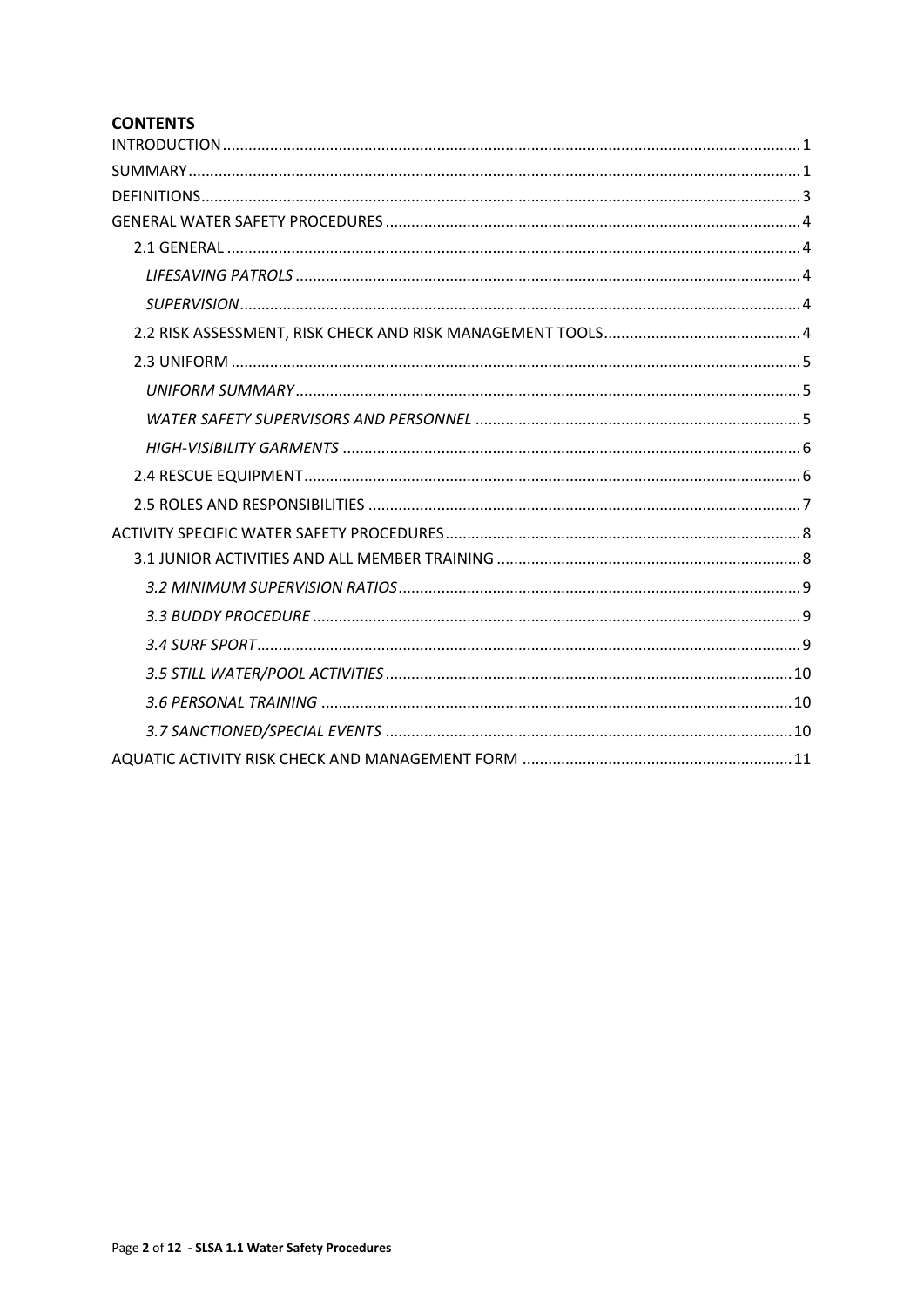# **CONTENTS**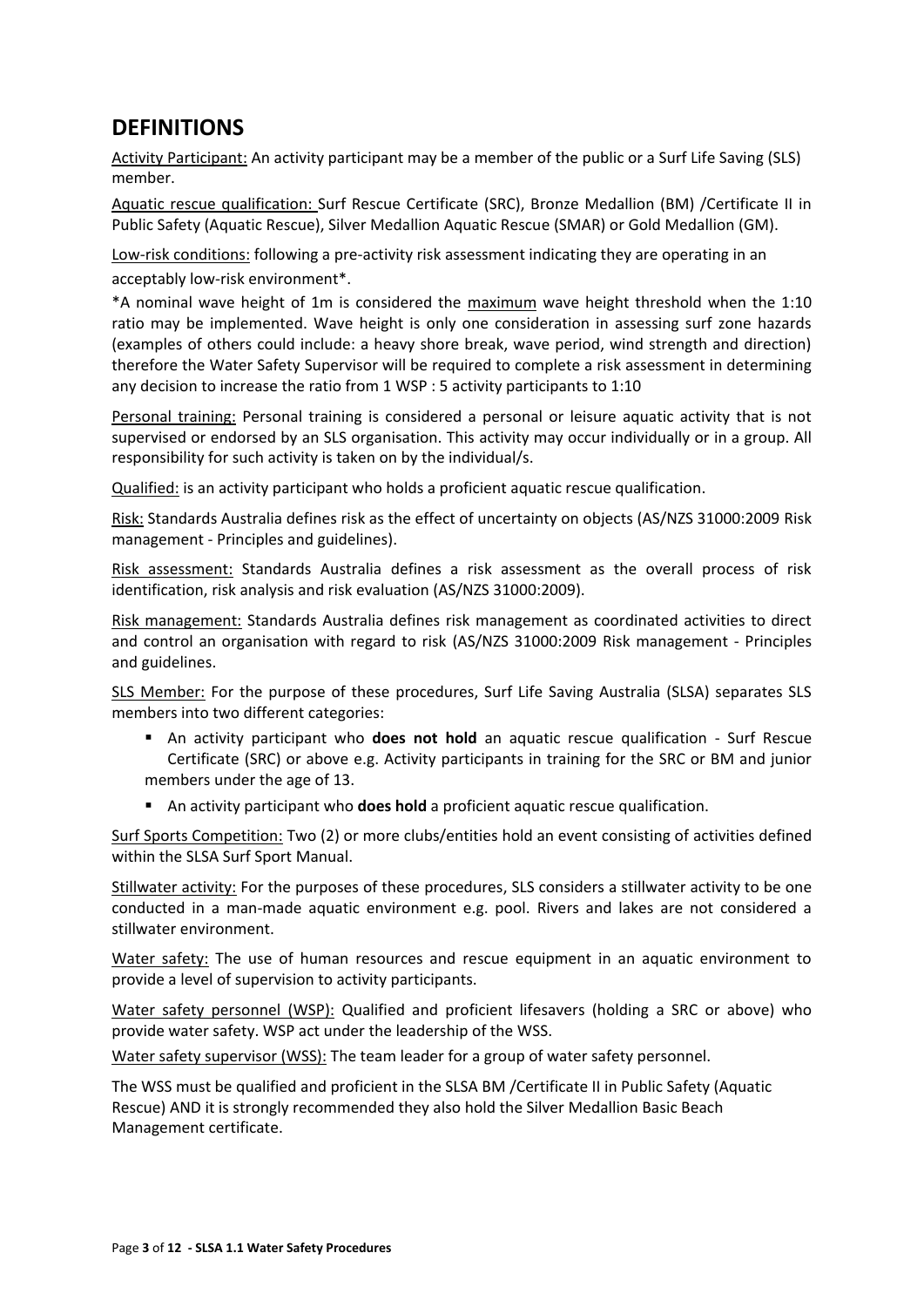# <span id="page-2-0"></span>**DEFINITIONS**

Activity Participant: An activity participant may be a member of the public or a Surf Life Saving (SLS) member.

Aquatic rescue qualification: Surf Rescue Certificate (SRC), Bronze Medallion (BM) /Certificate II in Public Safety (Aquatic Rescue), Silver Medallion Aquatic Rescue (SMAR) or Gold Medallion (GM).

Low-risk conditions: following a pre-activity risk assessment indicating they are operating in an acceptably low-risk environment\*.

\*A nominal wave height of 1m is considered the maximum wave height threshold when the 1:10 ratio may be implemented. Wave height is only one consideration in assessing surf zone hazards (examples of others could include: a heavy shore break, wave period, wind strength and direction) therefore the Water Safety Supervisor will be required to complete a risk assessment in determining any decision to increase the ratio from 1 WSP : 5 activity participants to 1:10

Personal training: Personal training is considered a personal or leisure aquatic activity that is not supervised or endorsed by an SLS organisation. This activity may occur individually or in a group. All responsibility for such activity is taken on by the individual/s.

Qualified: is an activity participant who holds a proficient aquatic rescue qualification.

Risk: Standards Australia defines risk as the effect of uncertainty on objects (AS/NZS 31000:2009 Risk management - Principles and guidelines).

Risk assessment: Standards Australia defines a risk assessment as the overall process of risk identification, risk analysis and risk evaluation (AS/NZS 31000:2009).

Risk management: Standards Australia defines risk management as coordinated activities to direct and control an organisation with regard to risk (AS/NZS 31000:2009 Risk management - Principles and guidelines.

SLS Member: For the purpose of these procedures, Surf Life Saving Australia (SLSA) separates SLS members into two different categories:

- An activity participant who **does not hold** an aquatic rescue qualification Surf Rescue Certificate (SRC) or above e.g. Activity participants in training for the SRC or BM and junior members under the age of 13.
- An activity participant who **does hold** a proficient aquatic rescue qualification.

Surf Sports Competition: Two (2) or more clubs/entities hold an event consisting of activities defined within the SLSA Surf Sport Manual.

Stillwater activity: For the purposes of these procedures, SLS considers a stillwater activity to be one conducted in a man-made aquatic environment e.g. pool. Rivers and lakes are not considered a stillwater environment.

Water safety: The use of human resources and rescue equipment in an aquatic environment to provide a level of supervision to activity participants.

Water safety personnel (WSP): Qualified and proficient lifesavers (holding a SRC or above) who provide water safety. WSP act under the leadership of the WSS.

Water safety supervisor (WSS): The team leader for a group of water safety personnel.

The WSS must be qualified and proficient in the SLSA BM /Certificate II in Public Safety (Aquatic Rescue) AND it is strongly recommended they also hold the Silver Medallion Basic Beach Management certificate.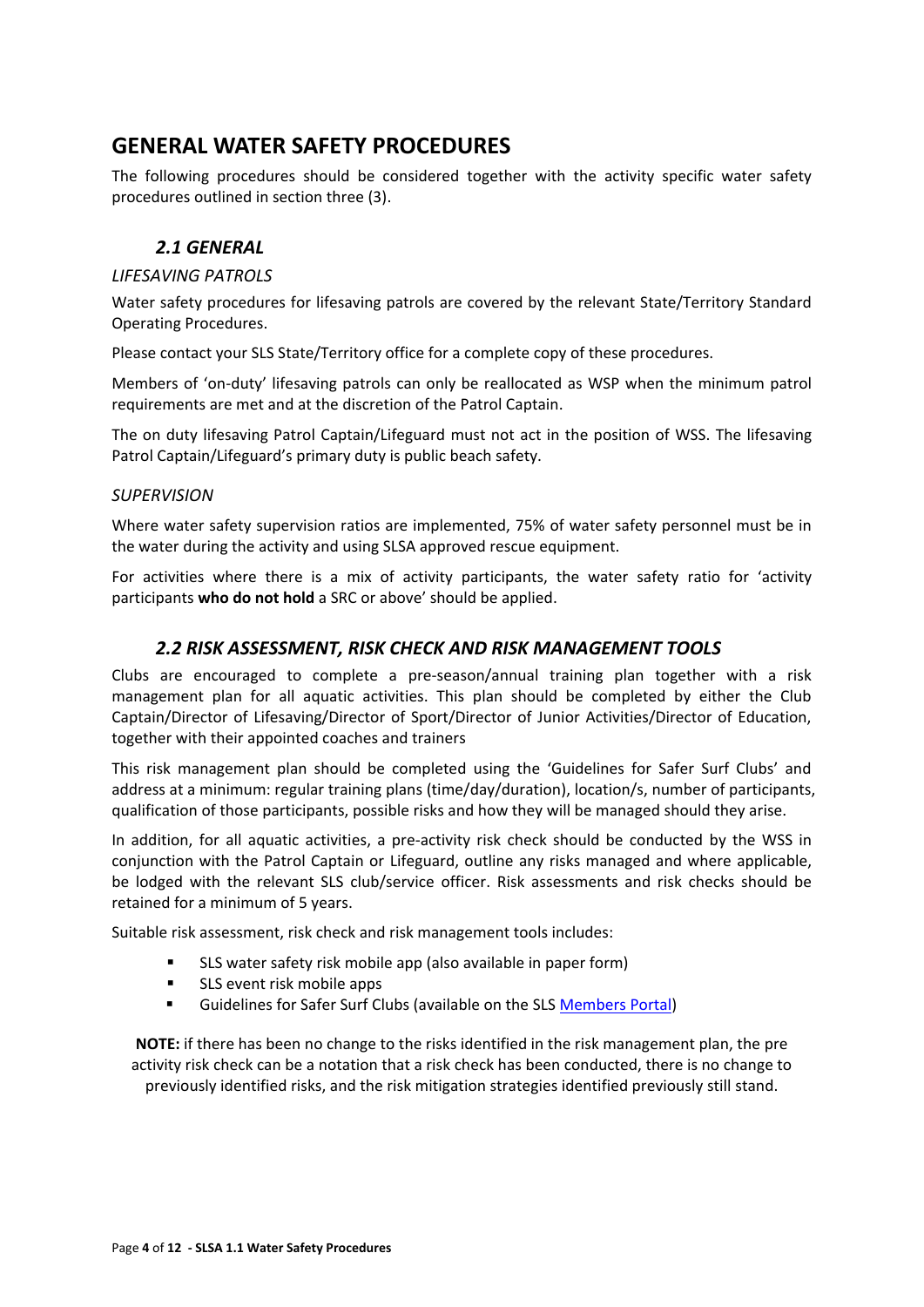# <span id="page-3-0"></span>**GENERAL WATER SAFETY PROCEDURES**

The following procedures should be considered together with the activity specific water safety procedures outlined in section three (3).

# *2.1 GENERAL*

#### <span id="page-3-2"></span><span id="page-3-1"></span>*LIFESAVING PATROLS*

Water safety procedures for lifesaving patrols are covered by the relevant State/Territory Standard Operating Procedures.

Please contact your SLS State/Territory office for a complete copy of these procedures.

Members of 'on-duty' lifesaving patrols can only be reallocated as WSP when the minimum patrol requirements are met and at the discretion of the Patrol Captain.

The on duty lifesaving Patrol Captain/Lifeguard must not act in the position of WSS. The lifesaving Patrol Captain/Lifeguard's primary duty is public beach safety.

#### <span id="page-3-3"></span>*SUPERVISION*

Where water safety supervision ratios are implemented, 75% of water safety personnel must be in the water during the activity and using SLSA approved rescue equipment.

For activities where there is a mix of activity participants, the water safety ratio for 'activity participants **who do not hold** a SRC or above' should be applied.

## *2.2 RISK ASSESSMENT, RISK CHECK AND RISK MANAGEMENT TOOLS*

<span id="page-3-4"></span>Clubs are encouraged to complete a pre-season/annual training plan together with a risk management plan for all aquatic activities. This plan should be completed by either the Club Captain/Director of Lifesaving/Director of Sport/Director of Junior Activities/Director of Education, together with their appointed coaches and trainers

This risk management plan should be completed using the 'Guidelines for Safer Surf Clubs' and address at a minimum: regular training plans (time/day/duration), location/s, number of participants, qualification of those participants, possible risks and how they will be managed should they arise.

In addition, for all aquatic activities, a pre-activity risk check should be conducted by the WSS in conjunction with the Patrol Captain or Lifeguard, outline any risks managed and where applicable, be lodged with the relevant SLS club/service officer. Risk assessments and risk checks should be retained for a minimum of 5 years.

Suitable risk assessment, risk check and risk management tools includes:

- SLS water safety risk mobile app (also available in paper form)
- **SLS** event risk mobile apps
- **EXECUTE:** Guidelines for Safer Surf Clubs (available on the SL[S Members Portal\)](https://portal.sls.com.au/wps/portal/member/!ut/p/b0/04_Sj9CPykssy0xPLMnMz0vMAfGjzOKNXEL9vL3dDQ3czVycDTxd3YwDPNxDjA2CzfQLsh0VAWuJgG4!/)

**NOTE:** if there has been no change to the risks identified in the risk management plan, the pre activity risk check can be a notation that a risk check has been conducted, there is no change to previously identified risks, and the risk mitigation strategies identified previously still stand.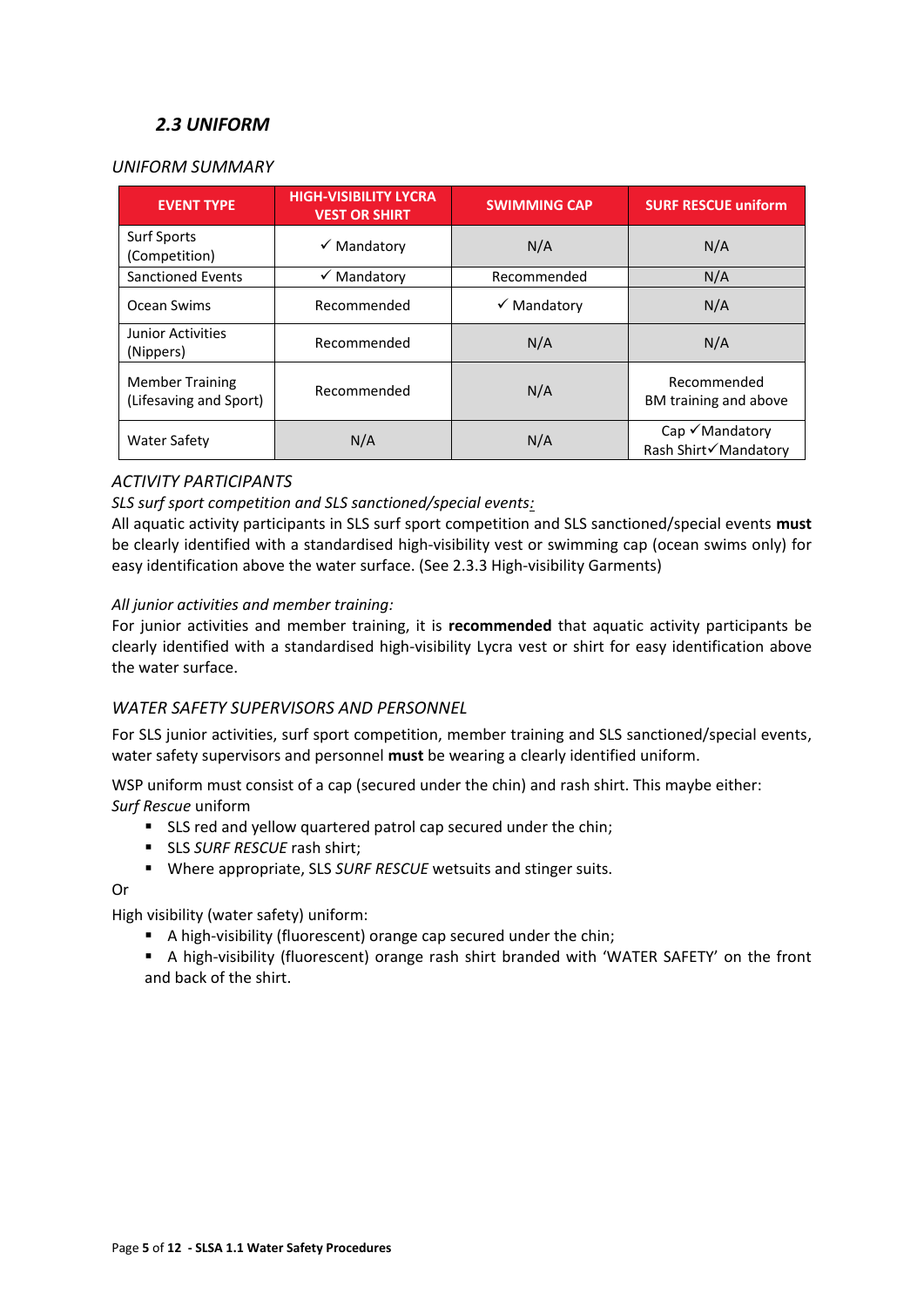# *2.3 UNIFORM*

#### <span id="page-4-1"></span><span id="page-4-0"></span>*UNIFORM SUMMARY*

| <b>EVENT TYPE</b>                                | <b>HIGH-VISIBILITY LYCRA</b><br><b>VEST OR SHIRT</b> | <b>SWIMMING CAP</b>    | <b>SURF RESCUE uniform</b>                         |
|--------------------------------------------------|------------------------------------------------------|------------------------|----------------------------------------------------|
| <b>Surf Sports</b><br>(Competition)              | $\checkmark$ Mandatory                               | N/A                    | N/A                                                |
| <b>Sanctioned Events</b>                         | $\checkmark$ Mandatory                               | Recommended            | N/A                                                |
| Ocean Swims                                      | Recommended                                          | $\checkmark$ Mandatory | N/A                                                |
| Junior Activities<br>(Nippers)                   | Recommended                                          | N/A                    | N/A                                                |
| <b>Member Training</b><br>(Lifesaving and Sport) | Recommended                                          | N/A                    | Recommended<br>BM training and above               |
| <b>Water Safety</b>                              | N/A                                                  | N/A                    | $Cap \checkmark$ Mandatory<br>Rash Shirt√Mandatory |

### *ACTIVITY PARTICIPANTS*

#### *SLS surf sport competition and SLS sanctioned/special events:*

All aquatic activity participants in SLS surf sport competition and SLS sanctioned/special events **must**  be clearly identified with a standardised high-visibility vest or swimming cap (ocean swims only) for easy identification above the water surface. (See 2.3.3 High-visibility Garments)

#### *All junior activities and member training:*

For junior activities and member training, it is **recommended** that aquatic activity participants be clearly identified with a standardised high-visibility Lycra vest or shirt for easy identification above the water surface.

#### <span id="page-4-2"></span>*WATER SAFETY SUPERVISORS AND PERSONNEL*

For SLS junior activities, surf sport competition, member training and SLS sanctioned/special events, water safety supervisors and personnel **must** be wearing a clearly identified uniform.

WSP uniform must consist of a cap (secured under the chin) and rash shirt. This maybe either: *Surf Rescue* uniform

- SLS red and yellow quartered patrol cap secured under the chin;
- SLS *SURF RESCUE* rash shirt;
- Where appropriate, SLS *SURF RESCUE* wetsuits and stinger suits.

#### Or

High visibility (water safety) uniform:

- A high-visibility (fluorescent) orange cap secured under the chin;
- A high-visibility (fluorescent) orange rash shirt branded with 'WATER SAFETY' on the front and back of the shirt.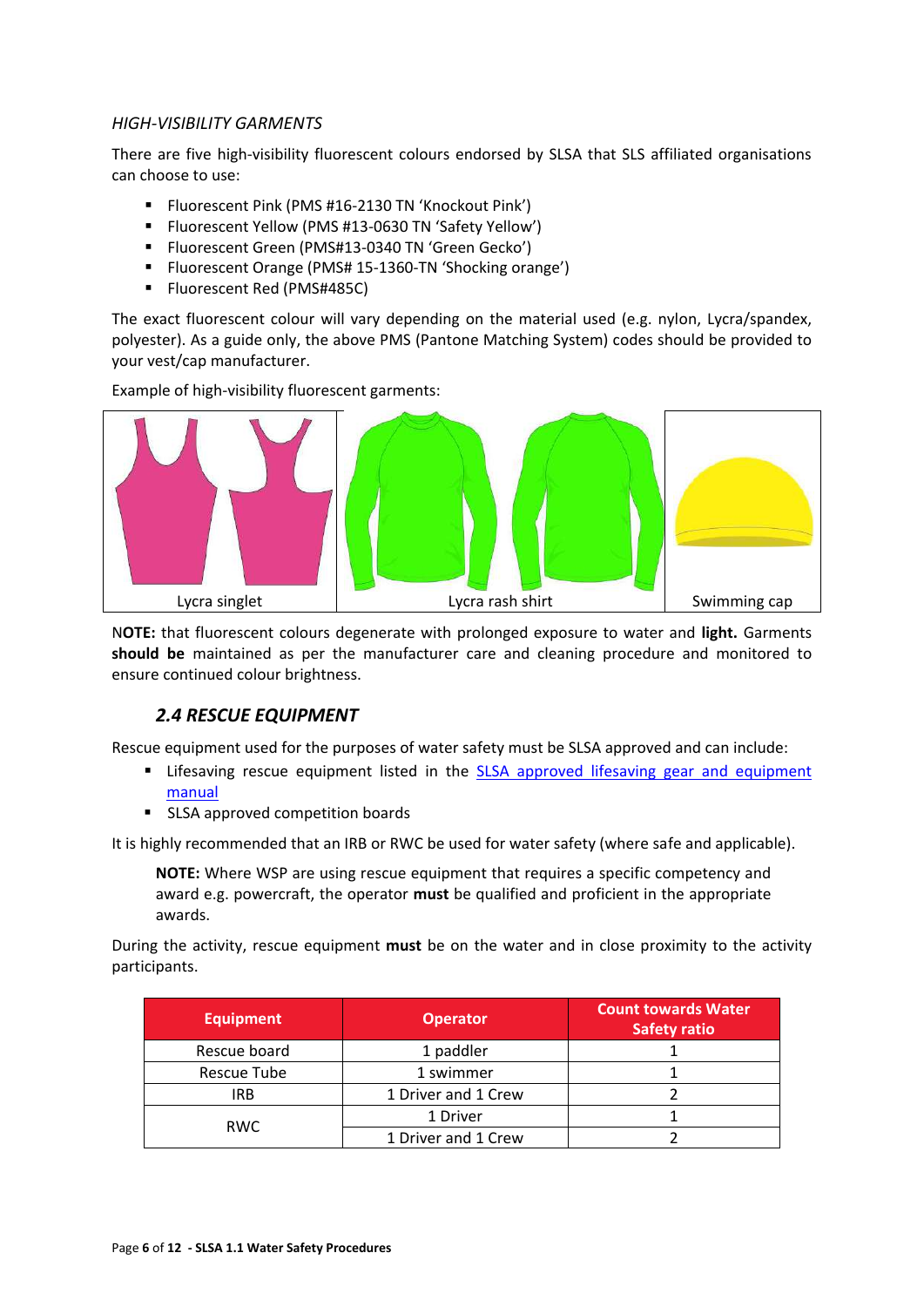#### <span id="page-5-0"></span>*HIGH-VISIBILITY GARMENTS*

There are five high-visibility fluorescent colours endorsed by SLSA that SLS affiliated organisations can choose to use:

- **F** Fluorescent Pink (PMS #16-2130 TN 'Knockout Pink')
- Fluorescent Yellow (PMS #13-0630 TN 'Safety Yellow')
- **F** Fluorescent Green (PMS#13-0340 TN 'Green Gecko')
- **F** Fluorescent Orange (PMS# 15-1360-TN 'Shocking orange')
- **FILUOTESCENT Red (PMS#485C)**

The exact fluorescent colour will vary depending on the material used (e.g. nylon, Lycra/spandex, polyester). As a guide only, the above PMS (Pantone Matching System) codes should be provided to your vest/cap manufacturer.

Example of high-visibility fluorescent garments:



N**OTE:** that fluorescent colours degenerate with prolonged exposure to water and **light.** Garments **should be** maintained as per the manufacturer care and cleaning procedure and monitored to ensure continued colour brightness.

#### *2.4 RESCUE EQUIPMENT*

<span id="page-5-1"></span>Rescue equipment used for the purposes of water safety must be SLSA approved and can include:

- **EXT** Lifesaving rescue equipment listed in the **SLSA** approved lifesaving gear and equipment [manual](http://sls.com.au/sites/sls.com.au/files/slsa-approved-gear-equipment-manual-2014-feb.pdf)
- **SLSA approved competition boards**

It is highly recommended that an IRB or RWC be used for water safety (where safe and applicable).

**NOTE:** Where WSP are using rescue equipment that requires a specific competency and award e.g. powercraft, the operator **must** be qualified and proficient in the appropriate awards.

During the activity, rescue equipment **must** be on the water and in close proximity to the activity participants.

| <b>Equipment</b> | <b>Operator</b>     | <b>Count towards Water</b><br><b>Safety ratio</b> |
|------------------|---------------------|---------------------------------------------------|
| Rescue board     | 1 paddler           |                                                   |
| Rescue Tube      | 1 swimmer           |                                                   |
| <b>IRB</b>       | 1 Driver and 1 Crew |                                                   |
| <b>RWC</b>       | 1 Driver            |                                                   |
|                  | 1 Driver and 1 Crew |                                                   |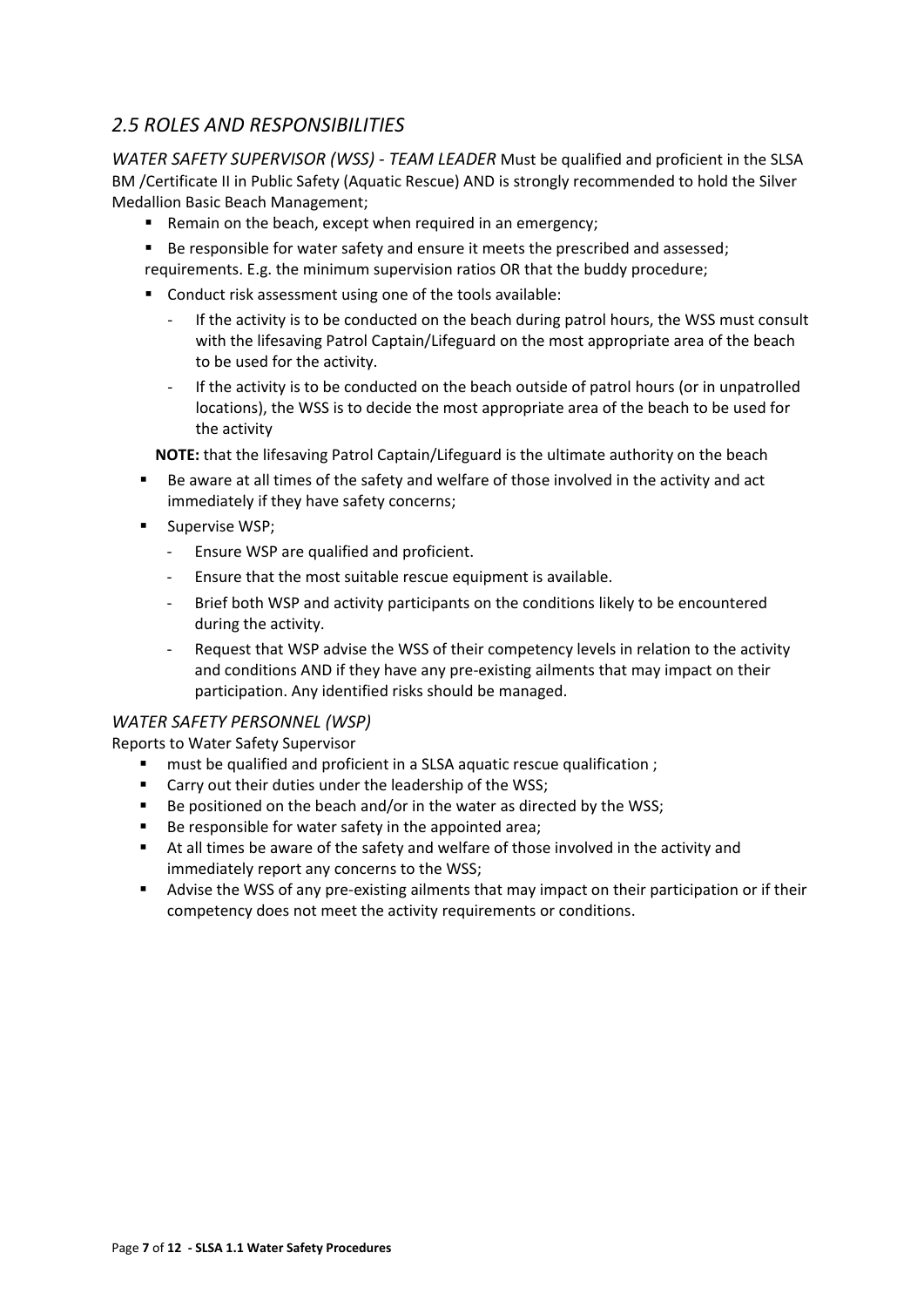# <span id="page-6-0"></span>*2.5 ROLES AND RESPONSIBILITIES*

*WATER SAFETY SUPERVISOR (WSS) - TEAM LEADER* Must be qualified and proficient in the SLSA BM /Certificate II in Public Safety (Aquatic Rescue) AND is strongly recommended to hold the Silver Medallion Basic Beach Management;

- **Remain on the beach, except when required in an emergency;**
- Be responsible for water safety and ensure it meets the prescribed and assessed; requirements. E.g. the minimum supervision ratios OR that the buddy procedure;
- Conduct risk assessment using one of the tools available:
	- If the activity is to be conducted on the beach during patrol hours, the WSS must consult with the lifesaving Patrol Captain/Lifeguard on the most appropriate area of the beach to be used for the activity.
	- If the activity is to be conducted on the beach outside of patrol hours (or in unpatrolled locations), the WSS is to decide the most appropriate area of the beach to be used for the activity

**NOTE:** that the lifesaving Patrol Captain/Lifeguard is the ultimate authority on the beach

- Be aware at all times of the safety and welfare of those involved in the activity and act immediately if they have safety concerns;
- **Supervise WSP;** 
	- Ensure WSP are qualified and proficient.
	- Ensure that the most suitable rescue equipment is available.
	- Brief both WSP and activity participants on the conditions likely to be encountered during the activity.
	- Request that WSP advise the WSS of their competency levels in relation to the activity and conditions AND if they have any pre-existing ailments that may impact on their participation. Any identified risks should be managed.

#### *WATER SAFETY PERSONNEL (WSP)*

Reports to Water Safety Supervisor

- **F** must be qualified and proficient in a SLSA aquatic rescue qualification ;
- **EXEC** Carry out their duties under the leadership of the WSS;
- Be positioned on the beach and/or in the water as directed by the WSS;
- Be responsible for water safety in the appointed area;
- At all times be aware of the safety and welfare of those involved in the activity and immediately report any concerns to the WSS;
- Advise the WSS of any pre-existing ailments that may impact on their participation or if their competency does not meet the activity requirements or conditions.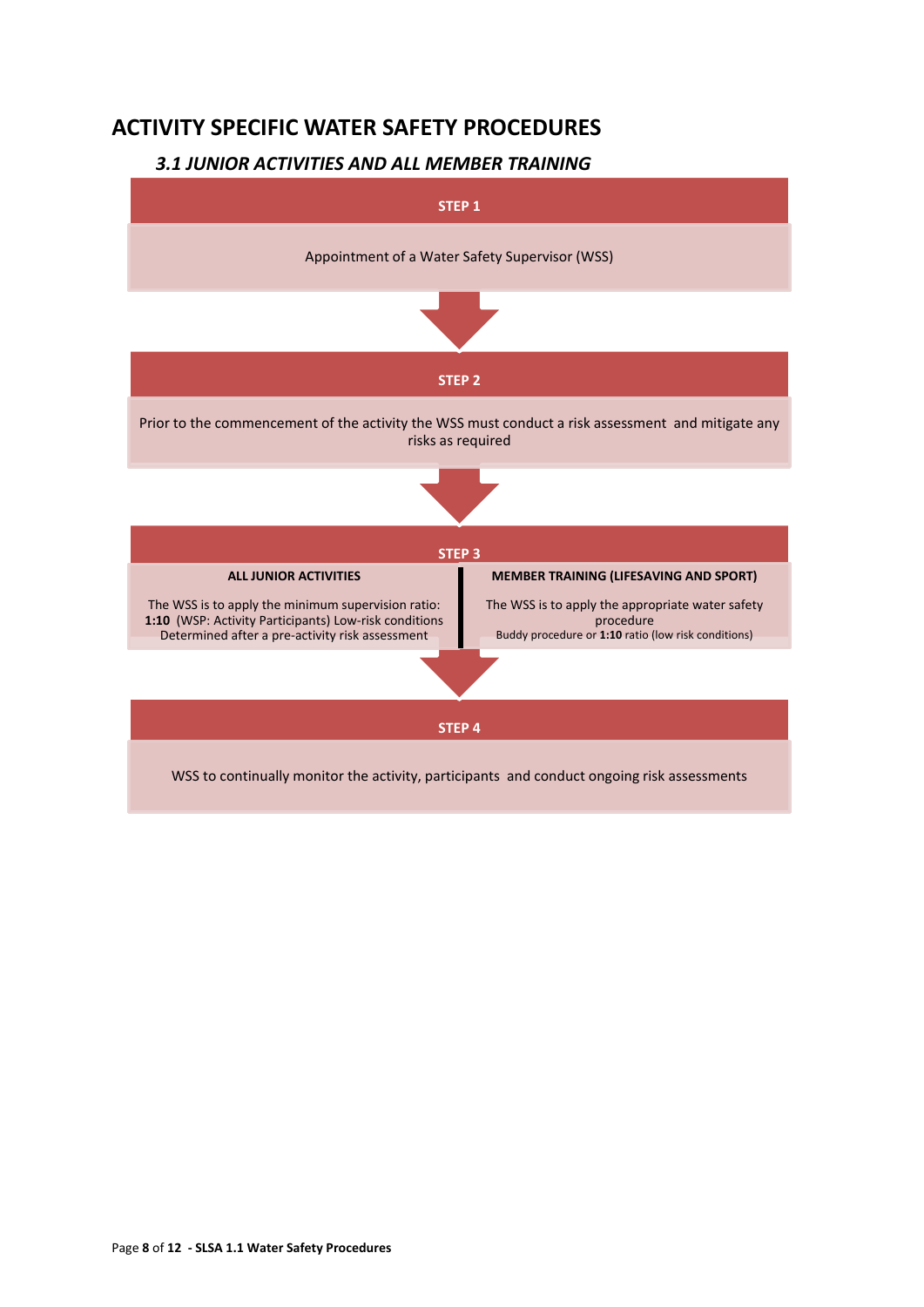# <span id="page-7-0"></span>**ACTIVITY SPECIFIC WATER SAFETY PROCEDURES**

# *3.1 JUNIOR ACTIVITIES AND ALL MEMBER TRAINING*

<span id="page-7-1"></span>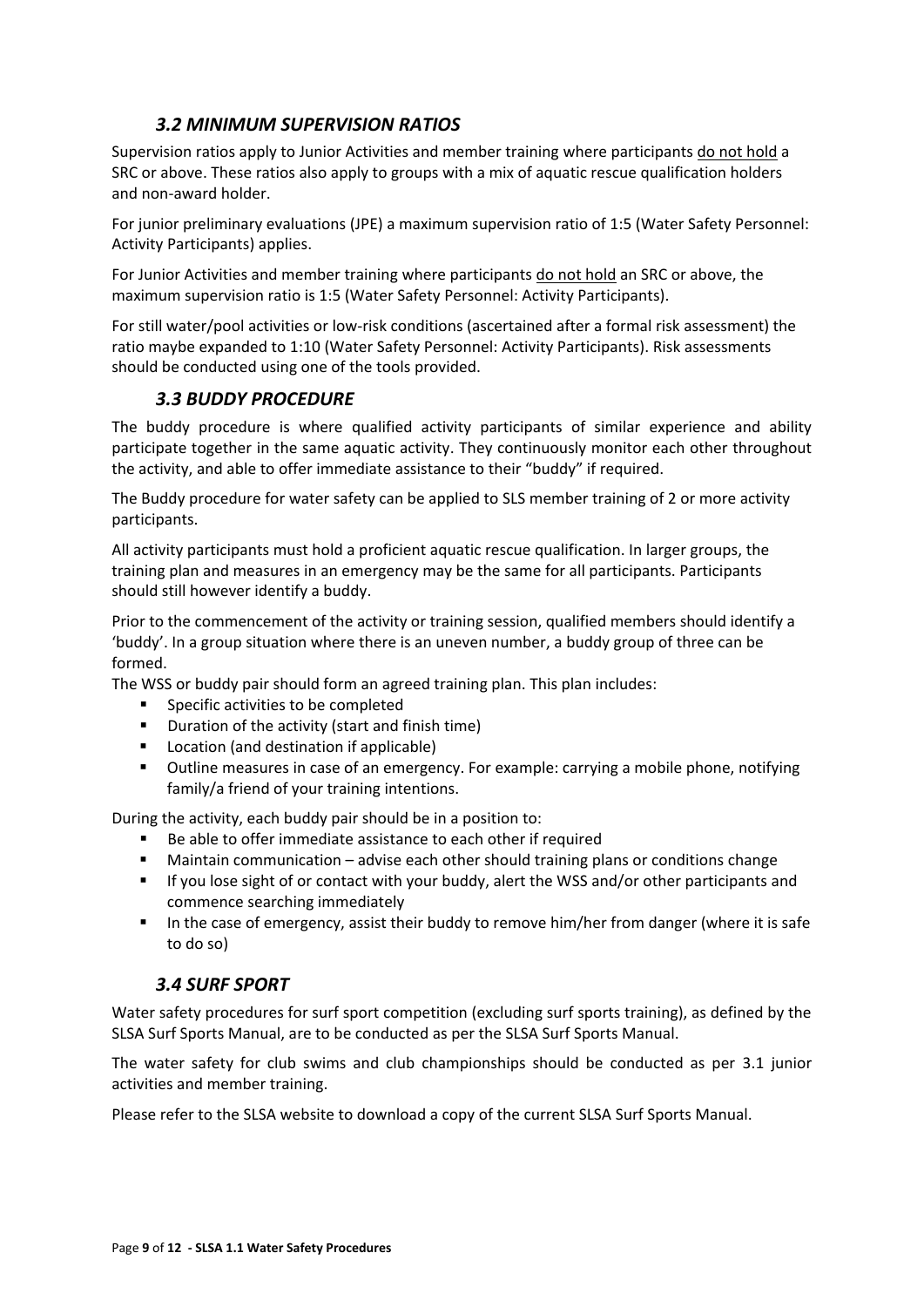# *3.2 MINIMUM SUPERVISION RATIOS*

<span id="page-8-0"></span>Supervision ratios apply to Junior Activities and member training where participants do not hold a SRC or above. These ratios also apply to groups with a mix of aquatic rescue qualification holders and non-award holder.

For junior preliminary evaluations (JPE) a maximum supervision ratio of 1:5 (Water Safety Personnel: Activity Participants) applies.

For Junior Activities and member training where participants do not hold an SRC or above, the maximum supervision ratio is 1:5 (Water Safety Personnel: Activity Participants).

For still water/pool activities or low-risk conditions (ascertained after a formal risk assessment) the ratio maybe expanded to 1:10 (Water Safety Personnel: Activity Participants). Risk assessments should be conducted using one of the tools provided.

# *3.3 BUDDY PROCEDURE*

<span id="page-8-1"></span>The buddy procedure is where qualified activity participants of similar experience and ability participate together in the same aquatic activity. They continuously monitor each other throughout the activity, and able to offer immediate assistance to their "buddy" if required.

The Buddy procedure for water safety can be applied to SLS member training of 2 or more activity participants.

All activity participants must hold a proficient aquatic rescue qualification. In larger groups, the training plan and measures in an emergency may be the same for all participants. Participants should still however identify a buddy.

Prior to the commencement of the activity or training session, qualified members should identify a 'buddy'. In a group situation where there is an uneven number, a buddy group of three can be formed.

The WSS or buddy pair should form an agreed training plan. This plan includes:

- **Specific activities to be completed**
- **•** Duration of the activity (start and finish time)
- **Location (and destination if applicable)**
- Outline measures in case of an emergency. For example: carrying a mobile phone, notifying family/a friend of your training intentions.

During the activity, each buddy pair should be in a position to:

- Be able to offer immediate assistance to each other if required
- Maintain communication advise each other should training plans or conditions change
- If you lose sight of or contact with your buddy, alert the WSS and/or other participants and commence searching immediately
- In the case of emergency, assist their buddy to remove him/her from danger (where it is safe to do so)

# *3.4 SURF SPORT*

<span id="page-8-2"></span>Water safety procedures for surf sport competition (excluding surf sports training), as defined by the SLSA Surf Sports Manual, are to be conducted as per the SLSA Surf Sports Manual.

The water safety for club swims and club championships should be conducted as per 3.1 junior activities and member training.

Please refer to the SLSA website to download a copy of the current SLSA Surf Sports Manual.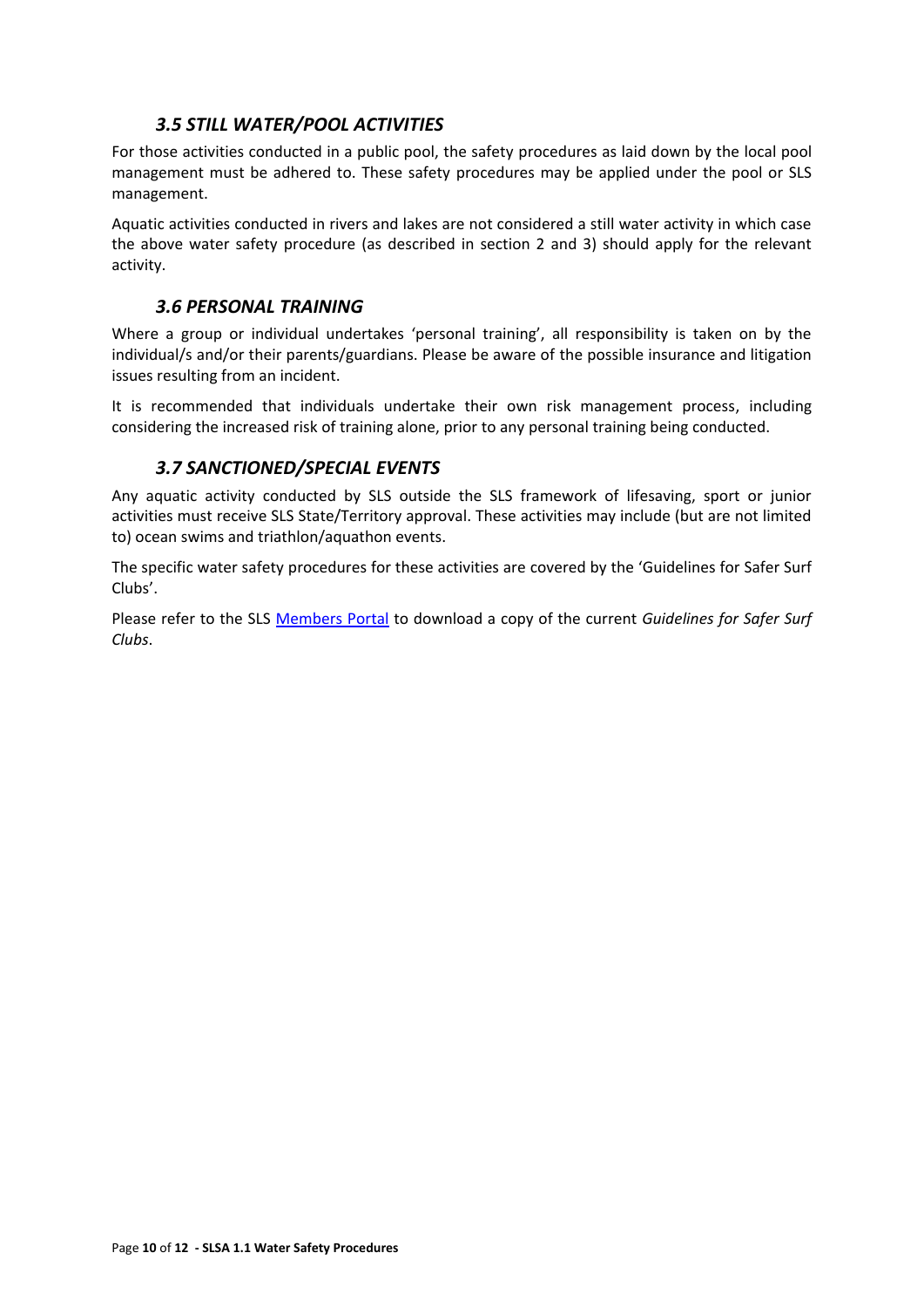## *3.5 STILL WATER/POOL ACTIVITIES*

<span id="page-9-0"></span>For those activities conducted in a public pool, the safety procedures as laid down by the local pool management must be adhered to. These safety procedures may be applied under the pool or SLS management.

Aquatic activities conducted in rivers and lakes are not considered a still water activity in which case the above water safety procedure (as described in section 2 and 3) should apply for the relevant activity.

#### *3.6 PERSONAL TRAINING*

<span id="page-9-1"></span>Where a group or individual undertakes 'personal training', all responsibility is taken on by the individual/s and/or their parents/guardians. Please be aware of the possible insurance and litigation issues resulting from an incident.

It is recommended that individuals undertake their own risk management process, including considering the increased risk of training alone, prior to any personal training being conducted.

#### *3.7 SANCTIONED/SPECIAL EVENTS*

<span id="page-9-2"></span>Any aquatic activity conducted by SLS outside the SLS framework of lifesaving, sport or junior activities must receive SLS State/Territory approval. These activities may include (but are not limited to) ocean swims and triathlon/aquathon events.

The specific water safety procedures for these activities are covered by the 'Guidelines for Safer Surf Clubs'.

Please refer to the SLS [Members Portal](https://portal.sls.com.au/wps/portal/member/!ut/p/b0/04_Sj9CPykssy0xPLMnMz0vMAfGjzOKNXEL9vL3dDQ3czVycDTxd3YwDPNxDjA2CzfQLsh0VAWuJgG4!/) to download a copy of the current *Guidelines for Safer Surf Clubs*.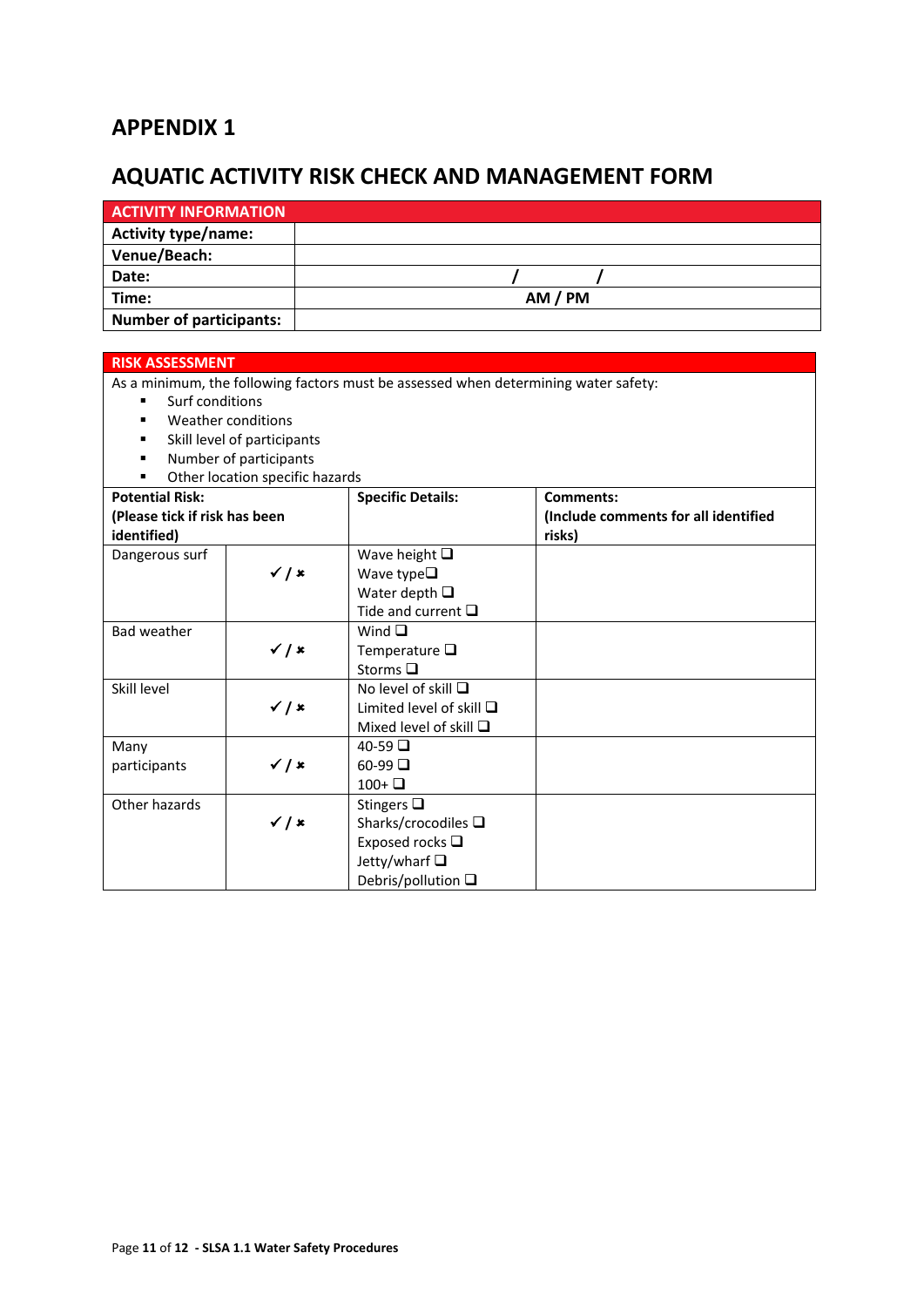# **APPENDIX 1**

# <span id="page-10-0"></span>**AQUATIC ACTIVITY RISK CHECK AND MANAGEMENT FORM**

| <b>ACTIVITY INFORMATION</b>    |         |
|--------------------------------|---------|
| Activity type/name:            |         |
| Venue/Beach:                   |         |
| Date:                          |         |
| Time:                          | AM / PM |
| <b>Number of participants:</b> |         |

#### **RISK ASSESSMENT**

As a minimum, the following factors must be assessed when determining water safety:

- **surf conditions**
- **•** Weather conditions
- **EXECUTE:** Skill level of participants
- **Number of participants**
- **C** Other location specific hazards

| <b>Potential Risk:</b>        | Other location specific hazards |                                  | <b>Comments:</b>                     |
|-------------------------------|---------------------------------|----------------------------------|--------------------------------------|
|                               |                                 | <b>Specific Details:</b>         |                                      |
| (Please tick if risk has been |                                 |                                  | (Include comments for all identified |
| identified)                   |                                 |                                  | risks)                               |
| Dangerous surf                |                                 | Wave height $\square$            |                                      |
|                               | $\checkmark$ / $\checkmark$     | Wave type $\square$              |                                      |
|                               |                                 | Water depth $\square$            |                                      |
|                               |                                 | Tide and current $\square$       |                                      |
| Bad weather                   |                                 | Wind $\Box$                      |                                      |
|                               | $\checkmark$ / $\checkmark$     | Temperature $\square$            |                                      |
|                               |                                 | Storms $\Box$                    |                                      |
| Skill level                   |                                 | No level of skill $\Box$         |                                      |
|                               | $\checkmark$ / $\checkmark$     | Limited level of skill $\square$ |                                      |
|                               |                                 | Mixed level of skill $\Box$      |                                      |
| Many                          |                                 | $40-59$ $\Box$                   |                                      |
| participants                  | $\checkmark$ / $\checkmark$     | $60-99$ $\Box$                   |                                      |
|                               |                                 | $100+$                           |                                      |
| Other hazards                 |                                 | Stingers $\square$               |                                      |
|                               | $\checkmark$ / $\checkmark$     | Sharks/crocodiles $\square$      |                                      |
|                               |                                 | Exposed rocks $\square$          |                                      |
|                               |                                 | Jetty/wharf $\square$            |                                      |
|                               |                                 | Debris/pollution $\square$       |                                      |